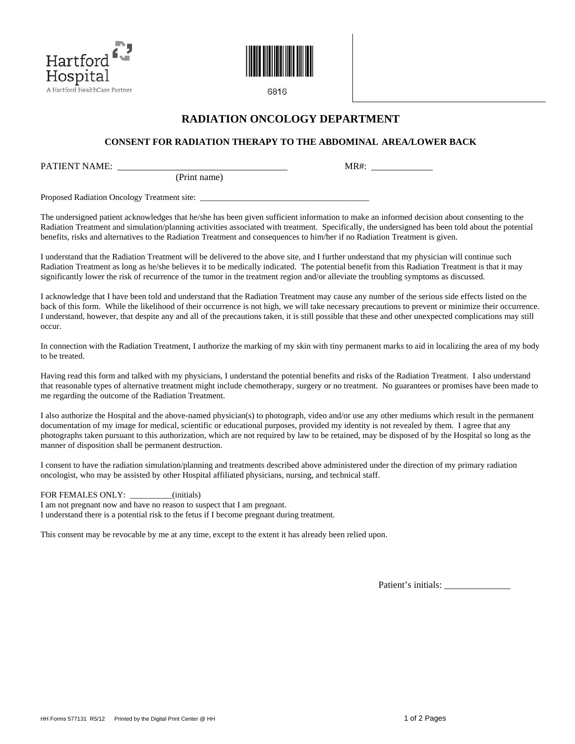



6816

## **RADIATION ONCOLOGY DEPARTMENT**

## **CONSENT FOR RADIATION THERAPY TO THE ABDOMINAL AREA/LOWER BACK**

PATIENT NAME:  $MR#$ :

Proposed Radiation Oncology Treatment site: \_\_\_\_\_\_\_\_\_\_\_\_\_\_\_\_\_\_\_\_\_\_\_\_\_\_\_\_\_\_\_\_\_\_\_\_\_\_\_\_

The undersigned patient acknowledges that he/she has been given sufficient information to make an informed decision about consenting to the Radiation Treatment and simulation/planning activities associated with treatment. Specifically, the undersigned has been told about the potential benefits, risks and alternatives to the Radiation Treatment and consequences to him/her if no Radiation Treatment is given.

I understand that the Radiation Treatment will be delivered to the above site, and I further understand that my physician will continue such Radiation Treatment as long as he/she believes it to be medically indicated. The potential benefit from this Radiation Treatment is that it may significantly lower the risk of recurrence of the tumor in the treatment region and/or alleviate the troubling symptoms as discussed.

I acknowledge that I have been told and understand that the Radiation Treatment may cause any number of the serious side effects listed on the back of this form. While the likelihood of their occurrence is not high, we will take necessary precautions to prevent or minimize their occurrence. I understand, however, that despite any and all of the precautions taken, it is still possible that these and other unexpected complications may still occur.

In connection with the Radiation Treatment, I authorize the marking of my skin with tiny permanent marks to aid in localizing the area of my body to be treated.

Having read this form and talked with my physicians, I understand the potential benefits and risks of the Radiation Treatment. I also understand that reasonable types of alternative treatment might include chemotherapy, surgery or no treatment. No guarantees or promises have been made to me regarding the outcome of the Radiation Treatment.

I also authorize the Hospital and the above-named physician(s) to photograph, video and/or use any other mediums which result in the permanent documentation of my image for medical, scientific or educational purposes, provided my identity is not revealed by them. I agree that any photographs taken pursuant to this authorization, which are not required by law to be retained, may be disposed of by the Hospital so long as the manner of disposition shall be permanent destruction.

I consent to have the radiation simulation/planning and treatments described above administered under the direction of my primary radiation oncologist, who may be assisted by other Hospital affiliated physicians, nursing, and technical staff.

FOR FEMALES ONLY: \_\_\_\_\_\_\_\_\_\_(initials)

I am not pregnant now and have no reason to suspect that I am pregnant. I understand there is a potential risk to the fetus if I become pregnant during treatment.

(Print name)

This consent may be revocable by me at any time, except to the extent it has already been relied upon.

Patient's initials: